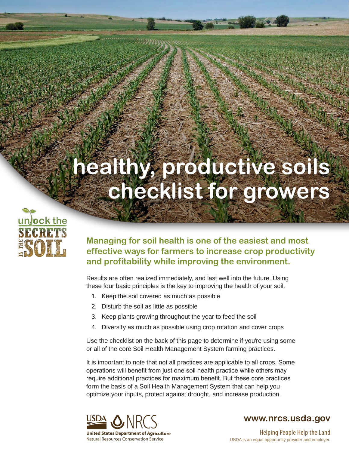## **healthy, productive soils checklist for growers**



**Managing for soil health is one of the easiest and most effective ways for farmers to increase crop productivity and profitability while improving the environment.**

Results are often realized immediately, and last well into the future. Using these four basic principles is the key to improving the health of your soil.

- 1. Keep the soil covered as much as possible
- 2. Disturb the soil as little as possible
- 3. Keep plants growing throughout the year to feed the soil
- 4. Diversify as much as possible using crop rotation and cover crops

Use the checklist on the back of this page to determine if you're using some or all of the core Soil Health Management System farming practices.

It is important to note that not all practices are applicable to all crops. Some operations will benefit from just one soil health practice while others may require additional practices for maximum benefit. But these core practices form the basis of a Soil Health Management System that can help you optimize your inputs, protect against drought, and increase production.



**www.nrcs.usda.gov**

USDA is an equal opportunity provider and employer. Helping People Help the Land